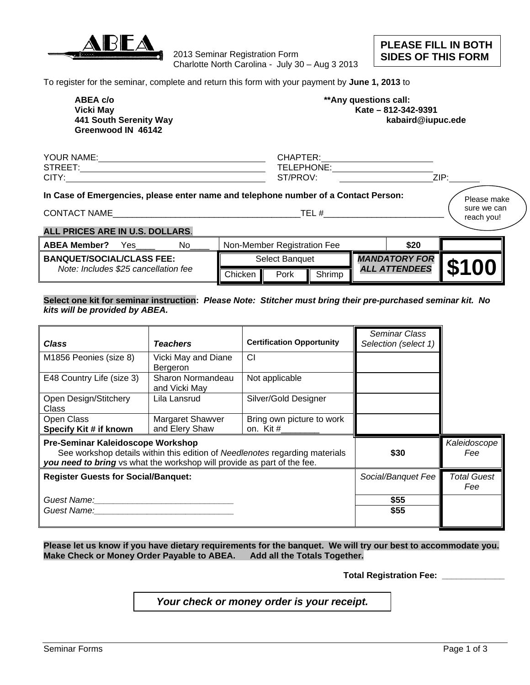

2013 Seminar Registration Form Charlotte North Carolina - July 30 – Aug 3 2013 **PLEASE FILL IN BOTH SIDES OF THIS FORM** 

To register for the seminar, complete and return this form with your payment by **June 1, 2013** to

 **ABEA c/o \*\*Any questions call: Greenwood IN 46142** 

 **Vicki May Kate – 812-342-9391 441 South Serenity Way kabaird@iupuc.ede** 

| <b>YOUR</b><br>NAME. | ⊡∆∟<br>זהו וט<br>--  |                  |
|----------------------|----------------------|------------------|
| <b>STREET</b>        | HONE<br>TFI<br>… ∎ צ |                  |
| <b>CITY</b>          |                      | 71D.<br><u>.</u> |

## **In Case of Emergencies, please enter name and telephone number of a Contact Person:**

CONTACT NAME\_\_\_\_\_\_\_\_\_\_\_\_\_\_\_\_\_\_\_\_\_\_\_\_\_\_\_\_\_\_\_\_\_\_\_\_\_\_\_TEL #\_\_\_\_\_\_\_\_\_\_\_\_\_\_\_\_\_\_\_\_\_\_\_\_\_

Please make sure we can reach you!

# **ALL PRICES ARE IN U.S. DOLLARS**.

| No<br>Yes<br><b>ABEA Member?</b>     |                       | Non-Member Registration Fee |                      |                   | \$20             |  |
|--------------------------------------|-----------------------|-----------------------------|----------------------|-------------------|------------------|--|
| <b>BANQUET/SOCIAL/CLASS FEE:</b>     | <b>Select Banguet</b> |                             | <b>MANDATORY FOR</b> | <b>\$100</b><br>Ш |                  |  |
| Note: Includes \$25 cancellation fee | Chicken               | Pork                        | Shrimp               | ALL               | <b>ATTENDEES</b> |  |

#### **Select one kit for seminar instruction:** *Please Note: Stitcher must bring their pre-purchased seminar kit. No kits will be provided by ABEA.*

| Class                                                                                                                                                                                                                          | <b>Teachers</b>                    | <b>Certification Opportunity</b>       | <b>Seminar Class</b><br>Selection (select 1) |                           |
|--------------------------------------------------------------------------------------------------------------------------------------------------------------------------------------------------------------------------------|------------------------------------|----------------------------------------|----------------------------------------------|---------------------------|
| M1856 Peonies (size 8)                                                                                                                                                                                                         | Vicki May and Diane<br>Bergeron    | <b>CI</b>                              |                                              |                           |
| E48 Country Life (size 3)                                                                                                                                                                                                      | Sharon Normandeau<br>and Vicki May | Not applicable                         |                                              |                           |
| Open Design/Stitchery<br>Class                                                                                                                                                                                                 | Lila Lansrud                       | Silver/Gold Designer                   |                                              |                           |
| Open Class<br>Specify Kit # if known                                                                                                                                                                                           | Margaret Shawver<br>and Elery Shaw | Bring own picture to work<br>on. Kit # |                                              |                           |
| Pre-Seminar Kaleidoscope Workshop<br>See workshop details within this edition of Needlenotes regarding materials<br>you need to bring vs what the workshop will provide as part of the fee.                                    |                                    |                                        | \$30                                         | Kaleidoscope<br>Fee       |
| <b>Register Guests for Social/Banquet:</b>                                                                                                                                                                                     |                                    |                                        | Social/Banquet Fee                           | <b>Total Guest</b><br>Fee |
| Guest Name: The Contract of the Contract of the Contract of the Contract of the Contract of the Contract of the Contract of the Contract of the Contract of the Contract of the Contract of the Contract of the Contract of th |                                    |                                        | \$55                                         |                           |
| Guest Name:                                                                                                                                                                                                                    |                                    |                                        | \$55                                         |                           |

**Please let us know if you have dietary requirements for the banquet. We will try our best to accommodate you. Make Check or Money Order Payable to ABEA. Add all the Totals Together.** 

 **Total Registration Fee: \_\_\_\_\_\_\_\_\_\_\_\_\_** 

*Your check or money order is your receipt.*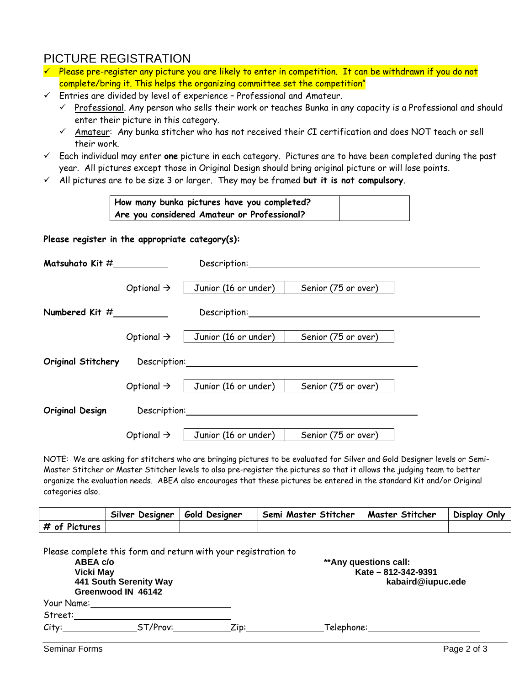# PICTURE REGISTRATION

- $\checkmark$  Please pre-register any picture you are likely to enter in competition. It can be withdrawn if you do not complete/bring it. This helps the organizing committee set the competition"
- $\checkmark$  Entries are divided by level of experience Professional and Amateur.
	- $\checkmark$  Professional. Any person who sells their work or teaches Bunka in any capacity is a Professional and should enter their picture in this category.
	- $\checkmark$  Amateur: Any bunka stitcher who has not received their CI certification and does NOT teach or sell their work.
- Each individual may enter **one** picture in each category. Pictures are to have been completed during the past year. All pictures except those in Original Design should bring original picture or will lose points.
- All pictures are to be size 3 or larger. They may be framed **but it is not compulsory**.

| How many bunka pictures have you completed? |  |
|---------------------------------------------|--|
| Are you considered Amateur or Professional? |  |

## **Please register in the appropriate category(s):**

| Matsuhato Kit $#$  |                        | Description:                                                                                                                                                                                                                   |                     |  |
|--------------------|------------------------|--------------------------------------------------------------------------------------------------------------------------------------------------------------------------------------------------------------------------------|---------------------|--|
|                    | Optional $\rightarrow$ | Junior (16 or under)                                                                                                                                                                                                           | Senior (75 or over) |  |
| Numbered Kit $#$   |                        | Description:                                                                                                                                                                                                                   |                     |  |
|                    | Optional $\rightarrow$ | Junior (16 or under)                                                                                                                                                                                                           | Senior (75 or over) |  |
| Original Stitchery |                        | Description: Network and the contract of the contract of the contract of the contract of the contract of the contract of the contract of the contract of the contract of the contract of the contract of the contract of the c |                     |  |
|                    |                        | Optional $\rightarrow$   Junior (16 or under)                                                                                                                                                                                  | Senior (75 or over) |  |
| Original Design    | Description:           |                                                                                                                                                                                                                                |                     |  |
|                    | Optional $\rightarrow$ | Junior (16 or under)                                                                                                                                                                                                           | Senior (75 or over) |  |

NOTE: We are asking for stitchers who are bringing pictures to be evaluated for Silver and Gold Designer levels or Semi-Master Stitcher or Master Stitcher levels to also pre-register the pictures so that it allows the judging team to better organize the evaluation needs. ABEA also encourages that these pictures be entered in the standard Kit and/or Original categories also.

|               | Silver<br>Desianer | Gold Desianer | Semi Master Stitcher | Master Stitcher | Display Only |
|---------------|--------------------|---------------|----------------------|-----------------|--------------|
| # of Pictures |                    |               |                      |                 |              |

| ABEA c/o<br><b>Vicki May</b><br>441 South Serenity Way<br>Greenwood IN 46142 |          |         | ** Any questions call:<br>Kate - 812-342-9391<br>kabaird@iupuc.ede |
|------------------------------------------------------------------------------|----------|---------|--------------------------------------------------------------------|
| Your Name:                                                                   |          |         |                                                                    |
| Street:                                                                      |          |         |                                                                    |
| City:                                                                        | ST/Prov: | $Z$ in: | Telephone:                                                         |